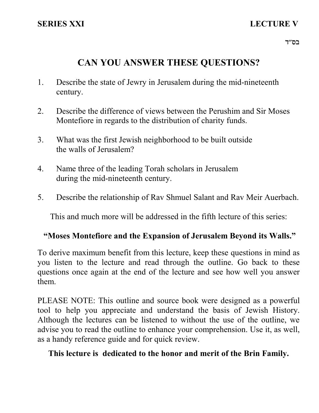# **CAN YOU ANSWER THESE QUESTIONS?**

- 1. Describe the state of Jewry in Jerusalem during the mid-nineteenth century.
- 2. Describe the difference of views between the Perushim and Sir Moses Montefiore in regards to the distribution of charity funds.
- 3. What was the first Jewish neighborhood to be built outside the walls of Jerusalem?
- 4. Name three of the leading Torah scholars in Jerusalem during the mid-nineteenth century.
- 5. Describe the relationship of Rav Shmuel Salant and Rav Meir Auerbach.

This and much more will be addressed in the fifth lecture of this series:

### **"Moses Montefiore and the Expansion of Jerusalem Beyond its Walls."**

To derive maximum benefit from this lecture, keep these questions in mind as you listen to the lecture and read through the outline. Go back to these questions once again at the end of the lecture and see how well you answer them.

PLEASE NOTE: This outline and source book were designed as a powerful tool to help you appreciate and understand the basis of Jewish History. Although the lectures can be listened to without the use of the outline, we advise you to read the outline to enhance your comprehension. Use it, as well, as a handy reference guide and for quick review.

## **This lecture is dedicated to the honor and merit of the Brin Family.**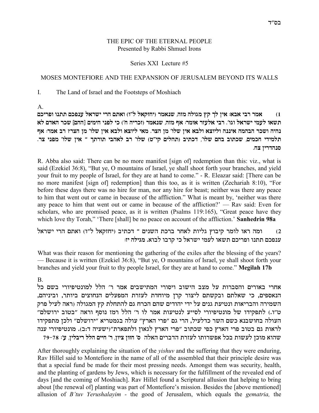#### THE EPIC OF THE ETERNAL PEOPLE Presented by Rabbi Shmuel Irons

#### Series XXI Lecture #5

#### MOSES MONTEFIORE AND THE EXPANSION OF JERUSALEM BEYOND ITS WALLS

I. The Land of Israel and the Footsteps of Moshiach

A.

**mkixte epzz mktpr l`xyi ixd mz`e (e"l l`wfgi) xn`py ,dfn dlebn uw jl oi` :`a` iax xn` (1** תשאו לעמי ישראל וגו׳. רבי אלעזר אומר: אף מזה, שנאמר (זכריה ח׳) כי לפני הימים [ההם] שכר האדם לא נהיה ושכר הבהמה איננה וליוצא ולבא אין שלו׳ מן הצר. מאי ליוצא ולבא אין שלו׳ מן הצריִ רב אמר: אף **.xv iptn 'ely oi` Î jzxez iad`l ax 'ely (h"iw mildz) aizkc ,'ely mda aezky ,minkg icinlz סנהדריו צח.** 

R. Abba also said: There can be no more manifest [sign of] redemption than this: viz., what is said (Ezekiel 36:8), "But ye, O mountains of Israel, ye shall shoot forth your branches, and yield your fruit to my people of Israel, for they are at hand to come." - R. Eleazar said: [There can be no more manifest [sign of] redemption] than this too, as it is written (Zechariah 8:10), "For before these days there was no hire for man, nor any hire for beast; neither was there any peace to him that went out or came in because of the affliction." What is meant by, 'neither was there any peace to him that went out or came in because of the affliction?' — Rav said: Even for scholars, who are promised peace, as it is written (Psalms 119:165), "Great peace have they which love thy Torah," 'There [shall] be no peace on account of the affliction.' **Sanhedrin 98a**

l' ומה ראו לומר קיבוץ גליות לאחר ברכת השנים ־ דכתיב (יחזקאל ל"ו) ואתם הרי ישראל ענפכם תתנו ופריכם תשאו לעמי ישראל כי קרבו לבוא. מגילה יז:

What was their reason for mentioning the gathering of the exiles after the blessing of the years? — Because it is written (Ezekiel 36:8), "But ye, O mountains of Israel, ye shall shoot forth your branches and yield your fruit to thy people Israel, for they are at hand to come." **Megilah 17b**

B.

אחרי באורים והסברות על מצב הישוב ויסורי המתישבים אמר ר׳ הלל למונטיפיורי בשם כל הנאספים, כי שאלתם ובקשתם ליצור קרן מיוחדת לעזרת המפעלים הנחוצים ביותר, וביניהם, השמירה והבריאות ונטיעת גנים על ידי יהודים שהם הכרח גם להתחלת קץ המגולה (ראה לעיל פרק  $^{'}$ ט״ו.) לתפקידו של מונטיפיורי לסייע לנטיעות אמר לו ר' הלל רמז נוסף וראה ״בטוב ירושלם העולה בחושבנא כשם השר כדלעיל, הרי גם "פרי הארץ" עולה בגמטריא "ירושלם" ולכן מתפקידו לראות גם בטוב פרי הארץ כפי שכתוב "פרי הארץ לגאון ולתפארת"(ישעיה ד:ב). מונטיפיורי ענה **79-78 :'r ,oilaix lld miig 'x ,oeiv oefg 'q** dl`d mixacd zxfrl ezexyt` lka zeyrl oken `edy

After thoroughly explaining the situation of the *yishuv* and the suffering that they were enduring, Rav Hillel said to Montefiore in the name of all of the assembled that their principle desire was that a special fund be made for their most pressing needs. Amongst them was security, health, and the planting of gardens by Jews, which is necessary for the fulfillment of the revealed end of days [and the coming of Moshiach]. Rav Hillel found a Scriptural allusion that helping to bring about [the renewal of] planting was part of Montefiore's mission. Besides the [above mentioned] allusion of *B'tuv Yerushalayim -* the good of Jerusalem, which equals the *gematria,* the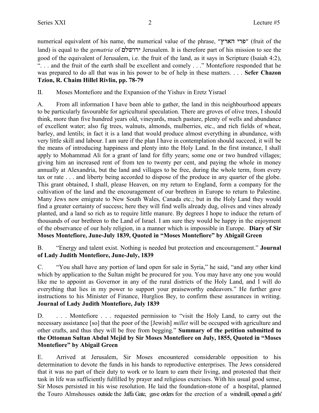numerical equivalent of his name, the numerical value of the phrase, "פרי הארץ" (fruit of the land) is equal to the *gematria* of **'רושלם** Jerusalem. It is therefore part of his mission to see the good of the equivalent of Jerusalem, i.e. the fruit of the land, as it says in Scripture (Isaiah 4:2), "... and the fruit of the earth shall be excellent and comely ..." Montefiore responded that he was prepared to do all that was in his power to be of help in these matters. . . . **Sefer Chazon Tzion, R. Chaim Hillel Rivlin, pp. 78-79**

II. Moses Montefiore and the Expansion of the Yishuv in Eretz Yisrael

A. From all information I have been able to gather, the land in this neighbourhood appears to be particularly favourable for agricultural speculation. There are groves of olive trees, I should think, more than five hundred years old, vineyards, much pasture, plenty of wells and abundance of excellent water; also fig trees, walnuts, almonds, mulberries, etc., and rich fields of wheat, barley, and lentils; in fact it is a land that would produce almost everything in abundance, with very little skill and labour. I am sure if the plan I have in contemplation should succeed, it will be the means of introducing happiness and plenty into the Holy Land. In the first instance, I shall apply to Mohammad Ali for a grant of land for fifty years; some one or two hundred villages; giving him an increased rent of from ten to twenty per cent, and paying the whole in money annually at Alexandria, but the land and villages to be free, during the whole term, from every tax or rate . . . and liberty being accorded to dispose of the produce in any quarter of the globe. This grant obtained, I shall, please Heaven, on my return to England, form a company for the cultivation of the land and the encouragement of our brethren in Europe to return to Palestine. Many Jews now emigrate to New South Wales, Canada etc.; but in the Holy Land they would find a greater certainty of success; here they will find wells already dug, olives and vines already planted, and a land so rich as to require little manure. By degrees I hope to induce the return of thousands of our brethren to the Land of Israel. I am sure they would be happy in the enjoyment of the observance of our holy religion, in a manner which is impossible in Europe. **Diary of Sir Moses Montefiore, June-July 1839, Quoted in "Moses Montefiore" by Abigail Green**

B. "Energy and talent exist. Nothing is needed but protection and encouragement." **Journal of Lady Judith Montefiore, June-July, 1839**

C. "You shall have any portion of land open for sale in Syria," he said, "and any other kind which by application to the Sultan might be procured for you. You may have any one you would like me to appoint as Governor in any of the rural districts of the Holy Land, and I will do everything that lies in my power to support your praiseworthy endeavors." He further gave instructions to his Minister of Finance, Hurglios Bey, to confirm these assurances in writing. **Journal of Lady Judith Montefiore, July 1839**

D. . . . . Montefiore . . . requested permission to "visit the Holy Land, to carry out the necessary assistance [so] that the poor of the [Jewish] *millet* will be occuped with agriculture and other crafts, and thus they will be free from begging." **Summary of the petition submitted to the Ottoman Sultan Abdul Mejid by Sir Moses Montefiore on July, 1855, Quoted in "Moses Montefiore" by Abigail Green**

E. Arrived at Jerusalem, Sir Moses encountered considerable opposition to his determination to devote the funds in his hands to reproductive enterprises. The Jews considered that it was no part of their duty to work or to learn to earn their living, and protested that their task in life was sufficiently fulfilled by prayer and religious exercises. With his usual good sense, Sir Moses persisted in his wise resolution. He laid the foundation-stone of a hospital, planned the Touro Almshouses outside the Jaffa Gate, gave orders for the erection of a windmill, opened a girls'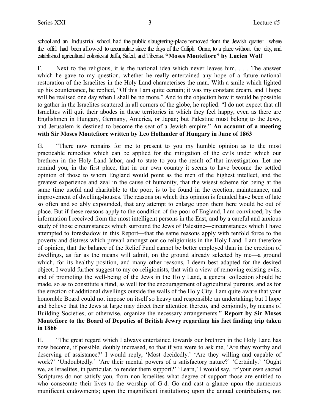school and an Industrial school, had the public slaugtering-place removed from the Jewish quarter where the offal had been allowed to accumulate since the days of the Caliph Omar, to a place without the city, and established agricultural colonies at Jaffa, Safed, and Tiberias. **"Moses Montefiore" by Lucien Wolf**

F. Next to the religious, it is the national idea which never leaves him. . . . The answer which he gave to my question, whether he really entertained any hope of a future national restoration of the Israelites in the Holy Land characterises the man. With a smile which lighted up his countenance, he replied, "Of this I am quite certain; it was my constant dream, and I hope will be realised one day when I shall be no more." And to the objection how it would be possible to gather in the Israelites scattered in all corners of the globe, he replied: "I do not expect that all Israelites will quit their abodes in these territories in which they feel happy, even as there are Englishmen in Hungary, Germany, America, or Japan; but Palestine must belong to the Jews, and Jerusalem is destined to become the seat of a Jewish empire." **An account of a meeting with Sir Moses Montefiore written by Leo Hollander of Hungary in June of 1863**

G. "There now remains for me to present to you my humble opinion as to the most practicable remedies which can be applied for the mitigation of the evils under which our brethren in the Holy Land labor, and to state to you the result of that investigation. Let me remind you, in the first place, that in our own country it seems to have become the settled opinion of those to whom England would point as the men of the highest intellect, and the greatest experience and zeal in the cause of humanity, that the wisest scheme for being at the same time useful and charitable to the poor, is to be found in the erection, maintenance, and improvement of dwelling-houses. The reasons on which this opinion is founded have been of late so often and so ably expounded, that any attempt to enlarge upon them here would be out of place. But if these reasons apply to the condition of the poor of England, I am convinced, by the information I received from the most intelligent persons in the East, and by a careful and anxious study of those circumstances which surround the Jews of Palestine—circumstances which I have attempted to foreshadow in this Report—that the same reasons apply with tenfold force to the poverty and distress which prevail amongst our co-religionists in the Holy Land. I am therefore of opinion, that the balance of the Relief Fund cannot be better employed than in the erection of dwellings, as far as the means will admit, on the ground already selected by me—a ground which, for its healthy position, and many other reasons, I deem best adapted for the desired object. I would further suggest to my co-religionists, that with a view of removing existing evils, and of promoting the well-being of the Jews in the Holy Land, a general collection should be made, so as to constitute a fund, as well for the encouragement of agricultural pursuits, and as for the erection of additional dwellings outside the walls of the Holy City. I am quite aware that your honorable Board could not impose on itself so heavy and responsible an undertaking; but I hope and believe that the Jews at large may direct their attention thereto, and conjointly, by means of Building Societies, or otherwise, organize the necessary arrangements." **Report by Sir Moses Montefiore to the Board of Deputies of British Jewry regarding his fact finding trip taken in 1866**

H. "The great regard which I always entertained towards our brethren in the Holy Land has now become, if possible, doubly increased, so that if you were to ask me, 'Are they worthy and deserving of assistance?' I would reply, 'Most decidedly.' 'Are they willing and capable of work?' 'Undoubtedly.' 'Are their mental powers of a satisfactory nature?' 'Certainly.' 'Ought we, as Israelites, in particular, to render them support?' 'Learn,' I would say, 'if your own sacred Scriptures do not satisfy you, from non-Israelites what degree of support those are entitled to who consecrate their lives to the worship of G-d. Go and cast a glance upon the numerous munificent endowments; upon the magnificent institutions; upon the annual contributions, not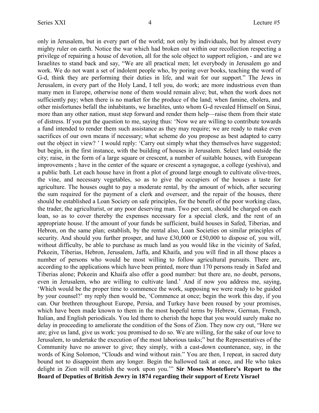only in Jerusalem, but in every part of the world; not only by individuals, but by almost every mighty ruler on earth. Notice the war which had broken out within our recollection respecting a privilege of repairing a house of devotion, all for the sole object to support religion, - and are we Israelites to stand back and say, "We are all practical men; let everybody in Jerusalem go and work. We do not want a set of indolent people who, by poring over books, teaching the word of G-d, think they are performing their duties in life, and wait for our support." The Jews in Jerusalem, in every part of the Holy Land, I tell you, do work; are more industrious even than many men in Europe, otherwise none of them would remain alive; but, when the work does not sufficiently pay; when there is no market for the produce of the land; when famine, cholera, and other misfortunes befall the inhabitants, we Israelites, unto whom G-d revealed Himself on Sinai, more than any other nation, must step forward and render them help—raise them from their state of distress. If you put the question to me, saying thus: 'Now we are willing to contribute towards a fund intended to render them such assistance as they may require; we are ready to make even sacrifices of our own means if necessary; what scheme do you propose as best adapted to carry out the object in view? ' I would reply: 'Carry out simply what they themselves have suggested; but begin, in the first instance, with the building of houses in Jerusalem. Select land outside the city; raise, in the form of a large square or crescent, a number of suitable houses, with European improvements ; have in the center of the square or crescent a synagogue, a college (yeshiva), and a public bath. Let each house have in front a plot of ground large enough to cultivate olive-trees, the vine, and necessary vegetables, so as to give the occupiers of the houses a taste for agriculture. The houses ought to pay a moderate rental, by the amount of which, after securing the sum required for the payment of a clerk and overseer, and the repair of the houses, there should be established a Loan Society on safe principles, for the benefit of the poor working class, the trader, the agriculturist, or any poor deserving man. Two per cent, should be charged on each loan, so as to cover thereby the expenses necessary for a special clerk, and the rent of an appropriate house. If the amount of your funds be sufficient, build houses in Safed, Tiberias, and Hebron, on the same plan; establish, by the rental also, Loan Societies on similar principles of security. And should you further prosper, and have £30,000 or £50,000 to dispose of, you will, without difficulty, be able to purchase as much land as you would like in the vicinity of Safed, Pekeein, Tiberias, Hebron, Jerusalem, Jaffa, and Khaifa, and you will find in all those places a number of persons who would be most willing to follow agricultural pursuits. There are, according to the applications which have been printed, more than 170 persons ready in Safed and Tiberias alone; Pekeein and Khaifa also offer a good number: but there are, no doubt, persons, even in Jerusalem, who are willing to cultivate land.' And if now you address me, saying, 'Which would be the proper time to commence the work, supposing we were ready to be guided by your counsel?' my reply then would be, 'Commence at once; begin the work this day, if you can. Our brethren throughout Europe, Persia, and Turkey have been roused by your promises, which have been made known to them in the most hopeful terms by Hebrew, German, French, Italian, and English periodicals. You led them to cherish the hope that you would surely make no delay in proceeding to ameliorate the condition of the Sons of Zion. They now cry out, "Here we are; give us land, give us work: you promised to do so. We are willing, for the sake of our love to Jerusalem, to undertake the execution of the most laborious tasks;" but the Representatives of the Community have no answer to give; they simply, with a cast-down countenance, say, in the words of King Solomon, "Clouds and wind without rain." You are then, I repeat, in sacred duty bound not to disappoint them any longer. Begin the hallowed task at once, and He who takes delight in Zion will establish the work upon you.'" **Sir Moses Montefiore's Report to the Board of Deputies of British Jewry in 1874 regarding their support of Eretz Yisrael**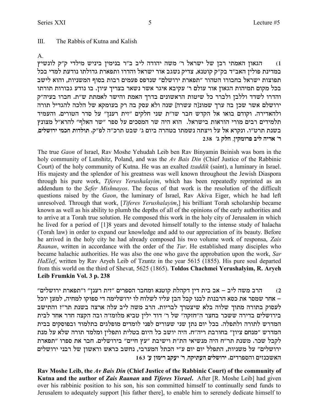#### III. The Rabbis of Kutna and Kalish

A.

הגאון האמתי רבן של ישראל ר' משה יהודה ליב ב"ר בנימין ביניש מילדי ק"ק לונשיץ (1 במדינת פולין האב״ד בק״ק קוטנא, צדיק נשגב אור ישראל והדרו ותפארת גדולתו נודעת למדי בכל תפוצות ישראל בחבורו הטהור "תפארת ירושלם" שנדפס פעמים רבות בסוף המשניות, והוא לישב בכל מקום תמיהות הגאון אור עולם ר' עקיבא איגר אשר נשאר בצריך עיון. בו נודע גבורות תורתו והדרו לשדד וללבן ולברר כל שיטות הראשונים בדרך האמת והישר לאמתת ש״ת. חברו בעיה״ק ירושלם אשר שכן בה ערך שמונ[ה עשרה] שנה ולא עסק בה רק בעומקא של הלכה להגדיל תורה ולהאדירה. וקודם בואו אל הקדש חבר שו״ת שני חלקים ״זית רענן״ על סדר הטורים. והעמיד תלמידים רבים מורי הוראות בישראל. הוא היה שר המסכים על ספר "שר האלף" להרא"ל מצונץ בשנת תרט״ו. ונקרא אל על ויצתה נשמתו בטהרה ביום ג׳ שבט תרכ״ה לפ״ק. תולדות חכמי ירושלים, **238 'b wlg ,oiwnext ail dix` 'x**

The true *Gaon* of Israel, Rav Moshe Yehudah Leib ben Rav Binyamin Beinish was born in the holy community of Lunshitz, Poland, and was the *Av Bais Din* (Chief Justice of the Rabbinic Court) of the holy community of Kutna. He was an exalted *tzaddik* (saint), a luminary in Israel. His majesty and the splendor of his greatness was well known throughout the Jewish Diaspora through his pure work, *Tiferes Yerushalayim*, which has been repeatedly reprinted as an addendum to the *Sefer Mishnayos*. The focus of that work is the resolution of the difficult questions raised by the *Gaon*, the luminary of Israel, Rav Akiva Eiger, which he had left unresolved. Through that work, [*Tiferes Yerushalayim*,] his brilliant Torah scholarship became known as well as his ability to plumb the depths of all of the opinions of the early authorities and to arrive at a Torah true solution. He composed this work in the holy city of Jerusalem in which he lived for a period of [1]8 years and devoted himself totally to the intense study of halacha (Torah law) in order to expand our knowledge and add to our appreciation of its beauty. Before he arrived in the holy city he had already composed his two volume work of responsa, *Zais Raanan*, written in accordance with the order of the *Tur*. He established many disciples who became halachic authorities. He was also the one who gave the approbation upon the work, *Sar HaElef*, written by Rav Aryeh Leib of Tzuntz in the year 5615 (1855). His pure soul departed from this world on the third of Shevat, 5625 (1865). **Toldos Chachmei Yerushalyim, R. Aryeh Leib Frumkin Vol. 3 p. 238**

"הוב משה ליב $\kappa = 1$ אב בית דין דקהלת קוטנא ומחבר הספרים "זית רענן" ו"תפארת ירושלים (2 אחר שמסר את כסא הרבנות לבנו קבל הבן עליו לשלוח לו ירושלימה די ספוקו למחיה, למען יוכל  $\,$  -לעסוק בתורה מתוך שלוה בלא שיצטרך לבריות. הרב משה ליב עלה ארצה בשנת תר"ז והתישב בירושלים בדירה ששכר בחצר ה"חזקה" של ר' דוד ילין טביא מלומז'ה ובה הקצה חדר אחד לבית המדרש לתורה ולתפלה. בכל יום נתן שני שעורים לפני לומדים מופלגים בתלמוד ובפוסקים בבית המדרש "מנחם ציון" בחורבת ריה"ח. היה יושב כל היום בטלית ותפלין ומלמד תורה שלא על מנת לקבל שכר. משנת תר"ח היה מנשיאי הת"ת וישיבת "עץ חיים" בירושלים. חבר את ספרו "תפארת ירושלים" על משניות, התפלל יום יום ע"י הכתל המערבי, נחשב כראש וראשון של רבני ירושלים **163 'r oenix awri 'x ,dwizrd milyexi** .micxtqde mifpky`d

**Rav Moshe Leib, the** *Av Bais Din* **(Chief Justice of the Rabbinic Court) of the community of Kutna and the author of** *Zais Raanan* **and** *Tiferes Yisrael***.** After [R. Moshe Leib] had given over his rabbinic position to his son, his son committed himself to continually send funds to Jerusalem to adequately support [his father there], to enable him to serenely dedicate himself to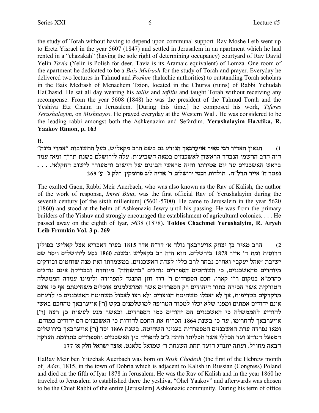the study of Torah without having to depend upon communal support. Rav Moshe Leib went up to Eretz Yisrael in the year 5607 (1847) and settled in Jerusalem in an apartment which he had rented in a "chazakah" (having the sole right of determining occupancy) courtyard of Rav David Yelin *Tavia* (Yelin is Polish for deer, Tavia is its Aramaic equivalent) of Lomza. One room of the apartment he dedicated to be a *Bais Midrash* for the study of Torah and prayer. Everyday he delivered two lectures in Talmud and *Poskim* (halachic authorities) to outstanding Torah scholars in the Bais Medrash of Menachem Tzion, located in the Churva (ruins) of Rabbi Yehudah HaChasid. He sat all day wearing his *tallis* and *tefilin* and taught Torah without receiving any recompense. From the year 5608 (1848) he was the president of the Talmud Torah and the Yeshiva Etz Chaim in Jerusalem. [During this time,] he composed his work, *Tiferes Yerushalayim*, on *Mishnayos*. He prayed everyday at the Western Wall. He was considered to be the leading rabbi amongst both the Ashkenazim and Sefardim. **Yerushalayim HaAtika, R. Yaakov Rimon, p. 163**

B.

"מגאון האדיר רבי מאיר אויערבאך הנודע גם בשם הרב מקאליש, בעל התשובות "אמרי בינה **i** היה הרב הרשמי הנבחר הראשון לאשכנזים במאה השביעית. עלה לירושלם בשנת תר״ך ומאז עמד  $\dots$ . . . . ...<br>בראש האשכנזים עד יום פטירתו והיה מראשי הבונים של הישוב והמעורר לישוב החקלאי **269 'r 'b wlg ,oiwnext ail dix` 'x ,milyexi inkg zeclez** .g"lxz xii` 'g xhtp

The exalted Gaon, Rabbi Meir Auerbach, who was also known as the Rav of Kalish, the author of the work of responsa, *Imrei Bina*, was the first official Rav of Yerushalayim during the seventh century [of the sixth millenium] (5601-5700). He came to Jerusalem in the year 5620 (1860) and stood at the helm of Ashkenazic Jewry until his passing. He was from the primary builders of the Yishuv and strongly encouraged the establishment of agricultural colonies. . . . He passed away on the eighth of Iyar, 5638 (1878). **Toldos Chachmei Yerushalyim, R. Aryeh Leib Frumkin Vol. 3 p. 269**

הרב מאיר בן יצחק אויערבאך נולד א׳ דר"ח אדר 1815 בעיר דאבריא אצל קאליש בפולין (2  $\sim$  הרוסית ומת ה' אייר 1878 בירשלים. הוא היה רב בקאליש ובשנת 1860 נסע לירושלים ויסד שם ישיבת "אהל יעקב" ואח"כ נבחר לרב כללי לעדת האשכנזים. במשמרתו זאת מנה שוחטים ובודקים מיוחדים מהאשכנזים, כי השוחטים הספרדים נוהגים "בהשחזה" מיוחדת ובבדיקה אינם נוהגים כהרמ״א במקום ר״י קארו. חכם הספרדים ר׳ דוד חזן התנגד להפרידה ולימינו עמדה הממשלה הטורקית אשר הכירה בתור היהודים רק הספרדים אשר המושלמנים אוכלים משחיטתם אף כי אינם מדקדקים בטריפות, אך לא יאכלו משחיטת הנוצרים ולא רצו לאכול משחיטת האשכנזים כי לדעתם אינם יהודים אמתים ומפני שלא יכלו למכור הטריפה למושלמנים בקש [ר׳] אויערבאך מהחכם באשי להודיע להממשלה כי האשכנזים הם יהודים כמו הספרדים. וכאשר מנע לעשות כן רצה [ר'] .<br>אויערבאך להחרימו, עד כי בשנת 1864 הכריח את החכם להודות כי האשכנזים הם יהודים כמוהם. ומאז נפרדה עדת האשכנזים המספרדית בעניני השחיטה. בשנת 1866 יסד [ר'] אויערבאך בירושלים המפעל הנודע ועד הכללי אשר תכליתו היתה ג״כ להפריד בין האשכנזים והספרדים בתרומת הצדקה **177 '` wlg l`xyi xve`** .hp`lq l`eny 'x zgbyd zgz cred bdpzi dzre .l"egn d`ad

HaRav Meir ben Yitzchak Auerbach was born on *Rosh Chodesh* (the first of the Hebrew month of] *Adar*, 1815, in the town of Dobria which is adjacent to Kalish in Russian (Congress) Poland and died on the fifth of Iyar 1878 in Jerusalem. He was the Rav of Kalish and in the year 1860 he traveled to Jerusalem to established there the yeshiva, "Ohel Yaakov" and afterwards was chosen to be the Chief Rabbi of the entire [Jerusalem] Ashkenazic community. During his term of office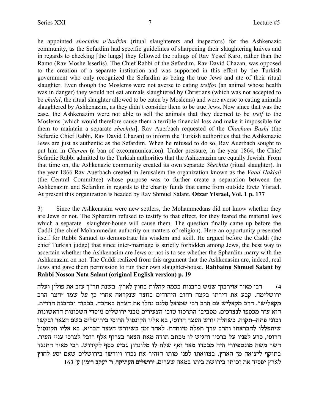he appointed *shochtim u'bodkim* (ritual slaughterers and inspectors) for the Ashkenazic community, as the Sefardim had specific guidelines of sharpening their slaughtering knives and in regards to checking [the lungs] they followed the rulings of Rav Yosef Karo, rather than the Ramo (Rav Moshe Isserlis). The Chief Rabbi of the Sefardim, Rav David Chazan, was opposed to the creation of a separate institution and was supported in this effort by the Turkish government who only recognized the Sefardim as being the true Jews and ate of their ritual slaughter. Even though the Moslems were not averse to eating *treifos* (an animal whose health was in danger) they would not eat animals slaughtered by Christians (which was not accepted to be *chalal*, the ritual slaughter allowed to be eaten by Moslems) and were averse to eating animals slaughtered by Ashkenazim, as they didn't consider them to be true Jews. Now since that was the case, the Ashkenazim were not able to sell the animals that they deemed to be *treif* to the Moslems [which would therefore cause them a terrible financial loss and make it impossible for them to maintain a separate *shechita*]. Rav Auerbach requested of the *Chacham Bashi* (the Sefardic Chief Rabbi, Rav David Chazan) to inform the Turkish authorities that the Ashkenazic Jews are just as authentic as the Sefardim. When he refused to do so, Rav Auerbach sought to put him in *Cherem* (a ban of excommunication). Under pressure, in the year 1864, the Chief Sefardic Rabbi admitted to the Turkish authorities that the Ashkenazim are equally Jewish. From that time on, the Ashkenazic community created its own separate *Shechita* (ritual slaughter). In the year 1866 Rav Auerbach created in Jerusalem the organization known as the *Vaad Haklali* (the Central Committee) whose purpose was to further create a separation between the Ashkenazim and Sefardim in regards to the charity funds that came from outside Eretz Yisrael. At present this organization is headed by Rav Shmuel Salant. **Otzar Yisrael, Vol. 1 p. 177**

3) Since the Ashkenasim were new settlers, the Mohammedans did not know whether they are Jews or not. The Sphardim refused to testify to that effect, for they feared the material loss which a separate slaughter-house will cause them. The question finally came up before the Caddi (the chief Mohammedan authority on matters of religion). Here an opportunity presented itself for Rabbi Samuel to demonstrate his wisdom and skill. He argued before the Caddi (the chief Turkish judge) that since inter-marriage is strictly forbidden among Jews, the best way to ascertain whether the Ashkenasim are Jews or not is to see whether the Sphardim marry with the Ashkenazim on not. The Caddi realized from this argument that the Ashkenasim are, indeed, real Jews and gave them permission to run their own slaughter-house. **Rabbainu Shmuel Salant by Rabbi Nosson Nota Salant (original English version) p. 19**

4) רבי מאיר אוירבוך שמש ברבנות בכמה קהלות בחוץ לארץ. בשנת תר"ך עזב את פולין ועלה ירושלימה. קבע את דירתו בקצה רחוב היהודים בחצר שנקראה אחרי כן על שמו "חצר הרב .<br>מקאליש". הרב מקאליש עם הרב רבי שמואל סלנט נהלו את העדה באהבה. בכבוד ובהבנה הדדית הוא עזר מכספו לנצרכים. מסביבו התרכזו טובי הצעירים מבני ירושלים מיסדי השכונות הראשונות ובוני פתח–תקוה. כשחלה יורש העצר הרוסי, בא אליו הקונסול הרוסי בירושלים בשם הצאר ובקשו שיתפללו להבראתו והרב ערך תפלה מיוחדת. לאחר זמן כשיורש העצר הבריא, בא אליו הקונסול .<br>הרוסי, כרע לפניו על ברכיו והגיש לו מכתב תודה מאת הצאר בצרוף אלף רובל לצרכי עניי העיר. השר משה מונטפיורי היה מכבדו מאד ואף שלח לו מלונדון גביע כסף לקידוש. רבי מאיר התנגד בתוקף ליציאה מן הארץ. בצוואתו לפני מותו הזהיר את נכדו ויורשו בירושלים שאם יסע לחוץ **163 'r oenix awri 'x ,dwizrd milyexi** .mixry d`na ezia zyexia ezekf z` ciqti ux`l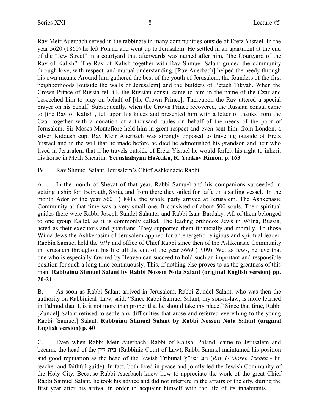Rav Meir Auerbach served in the rabbinate in many communities outside of Eretz Yisrael. In the year 5620 (1860) he left Poland and went up to Jerusalem. He settled in an apartment at the end of the "Jew Street" in a courtyard that afterwards was named after him, "the Courtyard of the Rav of Kalish". The Rav of Kalish together with Rav Shmuel Salant guided the community through love, with respect, and mutual understanding. [Rav Auerbach] helped the needy through his own means. Around him gathered the best of the youth of Jerusalem, the founders of the first neighborhoods [outside the walls of Jerusalem] and the builders of Petach Tikvah. When the Crown Prince of Russia fell ill, the Russian consul came to him in the name of the Czar and beseeched him to pray on behalf of [the Crown Prince]. Thereupon the Rav uttered a special prayer on his behalf. Subsequently, when the Crown Prince recovered, the Russian consul came to [the Rav of Kalish], fell upon his knees and presented him with a letter of thanks from the Czar together with a donation of a thousand rubles on behalf of the needs of the poor of Jerusalem. Sir Moses Montefiore held him in great respect and even sent him, from London, a silver Kiddush cup. Rav Meir Auerbach was strongly opposed to traveling outside of Eretz Yisrael and in the will that he made before he died he admonished his grandson and heir who lived in Jerusalem that if he travels outside of Eretz Yisrael he would forfeit his right to inherit his house in Meah Shearim. **Yerushalayim HaAtika, R. Yaakov Rimon, p. 163**

IV. Rav Shmuel Salant, Jerusalem's Chief Ashkenazic Rabbi

A. In the month of Shevat of that year, Rabbi Samuel and his companions succeeded in getting a ship for Beirouth, Syria, and from there they sailed for Jaffe on a sailing vessel. In the month Ador of the year 5601 (1841), the whole party arrived at Jerusalem. The Ashkenasic Community at that time was a very small one. It consisted of about 500 souls. Their spiritual guides there were Rabbi Joseph Sundel Salanter and Rabbi Isaia Bardaky. All of them belonged to one group Kallel, as it is commonly called. The leading orthodox Jews in Wilna, Russia, acted as their executors and guardians. They supported them financially and morally. To those Wilna-Jews the Ashkenasim of Jerusalem applied for an energetic religious and spiritual leader. Rabbin Samuel held the *title* and office of Chief Rabbi since then of the Ashkenasic Community in Jerusalem throughout his life till the end of the year 5669 (1909). We, as Jews, believe that one who is especially favored by Heaven can succeed to hold such an important and responsible position for such a long time continuously. This, if nothing else proves to us the greatness of this man. **Rabbainu Shmuel Salant by Rabbi Nosson Nota Salant (original English version) pp. 20-21**

B. As soon as Rabbi Salant arrived in Jerusalem, Rabbi Zundel Salant, who was then the authority on Rabbinical Law, said, "Since Rabbi Samuel Salant, my son-in-law, is more learned in Talmud than I, is it not more than proper that he should take my place." Since that time, Rabbi [Zundel] Salant refused to settle any difficulties that arose and referred everything to the young Rabbi [Samuel] Salant. **Rabbainu Shmuel Salant by Rabbi Nosson Nota Salant (original English version) p. 40**

C. Even when Rabbi Meir Auerbach, Rabbi of Kalish, Poland, came to Jerusalem and became the head of the כית דין (Rabbinic Court of Law), Rabbi Samuel maintained his position and good reputation as the head of the Jewish Tribunal רב ומו"ץ (*Rav U'Moreh Tzedek -* lit. teacher and faithful guide). In fact, both lived in peace and jointly led the Jewish Community of the Holy City. Because Rabbi Auerbach knew how to appreciate the work of the great Chief Rabbi Samuel Salant, he took his advice and did not interfere in the affairs of the city, during the first year after his arrival in order to acquaint himself with the life of its inhabitants. . . .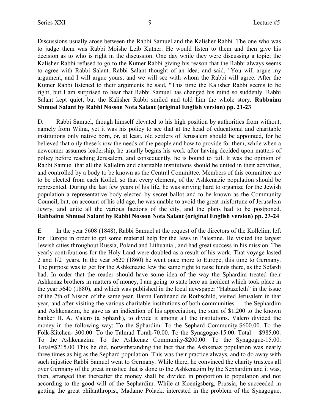Discussions usually arose between the Rabbi Samuel and the Kalisher Rabbi. The one who was to judge them was Rabbi Moishe Leib Kutner. He would listen to them and then give his decision as to who is right in the discussion. One day while they were discussing a topic; the Kalisher Rabbi refused to go to the Kutner Rabbi giving his reason that the Rabbi always seems to agree with Rabbi Salant. Rabbi Salant thought of an idea, and said, "You will argue my argument, and I will argue yours, and we will see with whom the Rabbi will agree. After the Kutner Rabbi listened to their arguments he said, "This time the Kalisher Rabbi seems to be right, but I am surprised to hear that Rabbi Samuel has changed his mind so suddenly. Rabbi Salant kept quiet, but the Kalisher Rabbi smiled and told him the whole story. **Rabbainu Shmuel Salant by Rabbi Nosson Nota Salant (original English version) pp. 21-23**

D. Rabbi Samuel, though himself elevated to his high position by authorities from without, namely from Wilna, yet it was his policy to see that at the head of educational and charitable institutions only native born, or, at least, old settlers of Jerusalem should be appointed, for he believed that only these know the needs of the people and how to provide for them, while when a newcomer assumes leadership, he usually begins his work after having decided upon matters of policy before reaching Jerusalem, and consequently, he is bound to fail. It was the opinion of Rabbi Samuel that all the Kallelim and charitable institutions should be united in their activities, and controlled by a body to be known as the Central Committee. Members of this committee are to be elected from each Kollel, so that every element, of the Ashkenazic population should be represented. During the last few years of his life, he was striving hard to organize for the Jewish population a representative body elected by secret ballot and to be known as the Community Council, but, on account of his old age, he was unable to avoid the great misfortune of Jerusalem Jewry, and unite all the various factions of the city, and the plans had to be postponed. **Rabbainu Shmuel Salant by Rabbi Nosson Nota Salant (original English version) pp. 23-24**

E. In the year 5608 (1848), Rabbi Samuel at the request of the directors of the Kollelim, left for Europe in order to get some material help for the Jews in Palestine. He visited the largest Jewish cities throughout Russia, Poland and Lithuania , and had great success in his mission. The yearly contributions for the Holy Land were doubled as a result of his work. That voyage lasted 2 and 1/2 years. In the year 5620 (1860) he went once more to Europe, this time to Germany. The purpose was to get for the Ashkenazic Jew the same right to raise funds there, as the Sefardi had. In order that the reader should have some idea of the way the Sphardim treated their Ashkenaz brothers in matters of money, I am going to state here an incident which took place in the year 5640 (1880), and which was published in the local newspaper "Habazeleth" in the issue of the 7th of Nisson of the same year. Baron Ferdinand de Rothschild, visited Jerusalem in that year, and after visiting the various charitable institutions of both communities — the Sephardim and Ashkenazim, he gave as an indication of his appreciation, the sum of \$1,200 to the known banker H. A. Valero (a Sphardi), to divide it among all the institutions. Valero divided the money in the following way: To the Sphardim: To the Sephard Community-\$600.00. To the Folk-Kitchen- 300.00. To the Talmud Torah-70.00. To the Synagogue-15.00. Total =  $$985,00$ . To the Ashkenazim: To the Ashkenaz Community-\$200.00. To the Synagogue-15.00. Total=\$215.00 This he did, notwithstanding the fact that the Ashkenaz population was nearly three times as big as the Sephard population. This was their practice always, and to do away with such injustice Rabbi Samuel went to Germany. While there, he convinced the charity trustees all over Germany of the great injustice that is done to the Ashkenazim by the Sephardim and it was, then, arranged that thereafter the money shall be divided in proportion to population and not according to the good will of the Sephardim. While at Koenigsberg, Prussia, he succeeded in getting the great philanthropist, Madame Polack, interested in the problem of the Synagogue,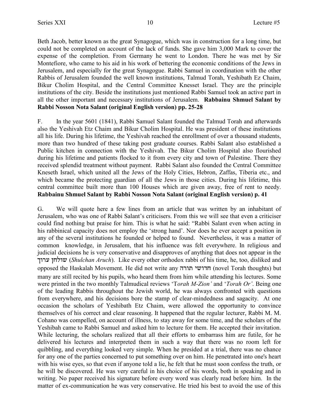Beth Jacob, better known as the great Synagogue, which was in construction for a long time, but could not be completed on account of the lack of funds. She gave him 3,000 Mark to cover the expense of the completion. From Germany he went to London. There he was met by Sir Montefiore, who came to his aid in his work of bettering the economic conditions of the Jews in Jerusalem, and especially for the great Synagogue. Rabbi Samuel in coordination with the other Rabbis of Jerusalem founded the well known institutions, Talmud Torah, Yeshibath Ez Chaim, Bikur Cholim Hospital, and the Central Committee Knesset Israel. They are the principle institutions of the city. Beside the institutions just mentioned Rabbi Samuel took an active part in all the other important and necessary institutions of Jerusalem. **Rabbainu Shmuel Salant by Rabbi Nosson Nota Salant (original English version) pp. 25-28**

F. In the year 5601 (1841), Rabbi Samuel Salant founded the Talmud Torah and afterwards also the Yeshivah Etz Chaim and Bikur Cholim Hospital. He was president of these institutions all his life. During his lifetime, the Yeshivah reached the enrollment of over a thousand students, more than two hundred of these taking post graduate courses. Rabbi Salant also established a Public kitchen in connection with the Yeshivah. The Bikur Cholim Hospital also flourished during his lifetime and patients flocked to it from every city and town of Palestine. There they received splendid treatment without payment. Rabbi Salant also founded the Central Committee Kneseth Israel, which united all the Jews of the Holy Cities, Hebron, Zaffas, Tiberia etc., and which became the protecting guardian of all the Jews in those cities. During his lifetime, this central committee built more than 100 Houses which are given away, free of rent to needy. **Rabbainu Shmuel Salant by Rabbi Nosson Nota Salant (original English version) p. 41**

G. We will quote here a few lines from an article that was written by an inhabitant of Jerusalem, who was one of Rabbi Salant's criticisers. From this we will see that even a criticiser could find nothing but praise for him. This is what he said: "Rabbi Salant even when acting in his rabbinical capacity does not employ the 'strong hand'. Nor does he ever accept a position in any of the several institutions he founded or helped to found. Nevertheless, it was a matter of common knowledge, in Jerusalem, that his influence was felt everywhere. In religious and judicial decisions he is very conservative and disapproves of anything that does not appear in the jexr ogley (*Shulchan Aruch*). Like every other orthodox rabbi of his time, he, too, disliked and opposed the Haskalah Movement. He did not write any חדושי תורה (novel Torah thoughts) but many are still recited by his pupils, who heard them from him while attending his lectures. Some were printed in the two monthly Talmudical reviews 'T*orah M-Zion'* and '*Torah Or'*. Being one of the leading Rabbis throughout the Jewish world, he was always confronted with questions from everywhere, and his decisions bore the stamp of clear-mindedness and sagacity. At one occasion the scholars of Yeshibath Etz Chaim, were allowed the opportunity to convince themselves of his correct and clear reasoning. It happened that the regular lecturer, Rabbi M. M. Cohano was compelled, on account of illness, to stay away for some time, and the scholars of the Yeshibah came to Rabbi Samuel and asked him to lecture for them. He accepted their invitation. While lecturing, the scholars realized that all their efforts to embarrass him are futile, for he delivered his lectures and interpreted them in such a way that there was no room left for quibbling, and everything looked very simple. When he presided at a trial, there was no chance for any one of the parties concerned to put something over on him. He penetrated into one's heart with his wise eyes, so that even if anyone told a lie, he felt that he must soon confess the truth, or he will be discovered. He was very careful in his choice of his words, both in speaking and in writing. No paper received his signature before every word was clearly read before him. In the matter of ex-communication he was very conservative. He tried his best to avoid the use of this